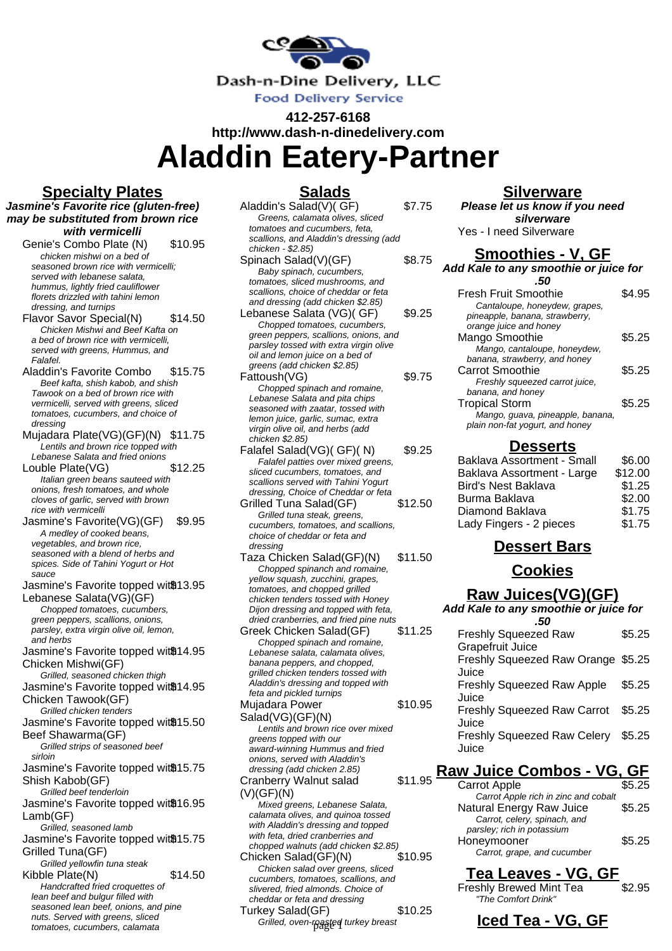

**412-257-6168**

**http://www.dash-n-dinedelivery.com Aladdin Eatery-Partner**

## **Specialty Plates**

**Salads**

**Jasmine's Favorite rice (gluten-free) may be substituted from brown rice with vermicelli** Genie's Combo Plate (N) \$10.95 chicken mishwi on a bed of seasoned brown rice with vermicelli; served with lebanese salata. hummus, lightly fried cauliflower florets drizzled with tahini lemon dressing, and turnips Flavor Savor Special(N) \$14.50 Chicken Mishwi and Beef Kafta on a bed of brown rice with vermicelli, served with greens, Hummus, and Falafel. Aladdin's Favorite Combo \$15.75 Beef kafta, shish kabob, and shish Tawook on a bed of brown rice with vermicelli, served with greens, sliced tomatoes, cucumbers, and choice of dressing Mujadara Plate(VG)(GF)(N) \$11.75 Lentils and brown rice topped with Lebanese Salata and fried onions Louble Plate(VG) \$12.25 Italian green beans sauteed with onions, fresh tomatoes, and whole cloves of garlic, served with brown rice with vermicelli Jasmine's Favorite(VG)(GF) \$9.95 A medley of cooked beans, vegetables, and brown rice, seasoned with a blend of herbs and spices. Side of Tahini Yogurt or Hot sauce Jasmine's Favorite topped wit<sup>®13.95</sup> Lebanese Salata(VG)(GF) Chopped tomatoes, cucumbers, green peppers, scallions, onions, parsley, extra virgin olive oil, lemon, and herbs Jasmine's Favorite topped wit<sup>®14.95</sup> Chicken Mishwi(GF) Grilled, seasoned chicken thigh Jasmine's Favorite topped wit<sup>®14.95</sup> Chicken Tawook(GF) Grilled chicken tenders Jasmine's Favorite topped wit<sup>®15.50</sup> Beef Shawarma(GF) Grilled strips of seasoned beef sirloin Jasmine's Favorite topped wit<sup>®15.75</sup> Shish Kabob(GF) Grilled beef tenderloin Jasmine's Favorite topped wit<sup>®16.95</sup> Lamb(GF) Grilled, seasoned lamb Jasmine's Favorite topped wit<sup>®15.75</sup> Grilled Tuna(GF) Grilled yellowfin tuna steak Kibble Plate(N) \$14.50 Handcrafted fried croquettes of lean beef and bulgur filled with seasoned lean beef, onions, and pine nuts. Served with greens, sliced tomatoes, cucumbers, calamata

| Aladdin's Salad(V)(GF)                 | \$7.75  |
|----------------------------------------|---------|
| Greens, calamata olives, sliced        |         |
| tomatoes and cucumbers, feta,          |         |
| scallions, and Aladdin's dressing (add |         |
| chicken - \$2.85)                      |         |
| Spinach Salad(V)(GF)                   | \$8.75  |
| Baby spinach, cucumbers,               |         |
| tomatoes, sliced mushrooms, and        |         |
| scallions, choice of cheddar or feta   |         |
| and dressing (add chicken \$2.85)      |         |
| Lebanese Salata (VG)(GF)               | \$9.25  |
| Chopped tomatoes, cucumbers,           |         |
| green peppers, scallions, onions, and  |         |
| parsley tossed with extra virgin olive |         |
| oil and lemon juice on a bed of        |         |
| greens (add chicken \$2.85)            |         |
| Fattoush(VG)                           | \$9.75  |
| Chopped spinach and romaine,           |         |
| Lebanese Salata and pita chips         |         |
| seasoned with zaatar, tossed with      |         |
| lemon juice, garlic, sumac, extra      |         |
| virgin olive oil, and herbs (add       |         |
| chicken \$2.85)                        |         |
| Falafel Salad(VG)(GF)(N)               | \$9.25  |
| Falafel patties over mixed greens,     |         |
| sliced cucumbers, tomatoes, and        |         |
| scallions served with Tahini Yogurt    |         |
| dressing, Choice of Cheddar or feta    |         |
| Grilled Tuna Salad(GF)                 | \$12.50 |
| Grilled tuna steak, greens,            |         |
| cucumbers, tomatoes, and scallions,    |         |
| choice of cheddar or feta and          |         |
| dressing                               |         |
| Taza Chicken Salad(GF)(N)              | \$11.50 |
| Chopped spinanch and romaine,          |         |
| yellow squash, zucchini, grapes,       |         |
| tomatoes, and chopped grilled          |         |
| chicken tenders tossed with Honey      |         |
| Dijon dressing and topped with feta,   |         |
| dried cranberries, and fried pine nuts |         |
| Greek Chicken Salad(GF)                | \$11.25 |
| Chopped spinach and romaine,           |         |
| Lebanese salata, calamata olives,      |         |
| banana peppers, and chopped,           |         |
| grilled chicken tenders tossed with    |         |
| Aladdin's dressing and topped with     |         |
| feta and pickled turnips               |         |
| Mujadara Power                         | \$10.95 |
| Salad(VG)(GF)(N)                       |         |
| Lentils and brown rice over mixed      |         |
| greens topped with our                 |         |
| award-winning Hummus and fried         |         |
| onions, served with Aladdin's          |         |
| dressing (add chicken 2.85)            |         |
| <b>Cranberry Walnut salad</b>          | \$11.95 |
| (V)(GF)(N)                             |         |
| Mixed greens, Lebanese Salata,         |         |
| calamata olives, and quinoa tossed     |         |
| with Aladdin's dressing and topped     |         |
| with feta, dried cranberries and       |         |
| chopped walnuts (add chicken \$2.85)   |         |
| Chicken Salad(GF)(N)                   | \$10.95 |
| Chicken salad over greens, sliced      |         |
| cucumbers, tomatoes, scallions, and    |         |
| slivered, fried almonds. Choice of     |         |
| cheddar or feta and dressing           |         |
| Turkov Salad(CE)                       | ድ1 በ ጋნ |

Turkey Salad(GF) \$10.25 Grilled, oven-roasted turkey breast

#### **Silverware**

**Please let us know if you need silverware** Yes - I need Silverware

# **Smoothies - V, GF**

### **Add Kale to any smoothie or juice for**

**.50**  $F_{\text{rank}}$  Fruit Smoothie  $\uparrow$  4.95

| Fresn Fruit Smootnie             | ריש.   |
|----------------------------------|--------|
| Cantaloupe, honeydew, grapes,    |        |
| pineapple, banana, strawberry,   |        |
| orange juice and honey           |        |
| Mango Smoothie                   | \$5.25 |
| Mango, cantaloupe, honeydew,     |        |
| banana, strawberry, and honey    |        |
| Carrot Smoothie                  | \$5.25 |
| Freshly squeezed carrot juice,   |        |
| banana, and honey                |        |
| <b>Tropical Storm</b>            | S5.25  |
| Mango, guava, pineapple, banana, |        |
| plain non-fat yogurt, and honey  |        |

# **Desserts**

| Baklava Assortment - Small | \$6.00  |
|----------------------------|---------|
| Baklava Assortment - Large | \$12.00 |
| <b>Bird's Nest Baklava</b> | \$1.25  |
| Burma Baklava              | \$2.00  |
| Diamond Baklava            | \$1.75  |
| Lady Fingers - 2 pieces    | \$1.75  |

# **Dessert Bars**

# **Cookies**

#### **Raw Juices(VG)(GF)**

**Add Kale to any smoothie or juice for**

| <b>Freshly Squeezed Raw</b>                 | \$5.25 |
|---------------------------------------------|--------|
| <b>Grapefruit Juice</b>                     |        |
| Freshly Squeezed Raw Orange \$5.25<br>Juice |        |
| <b>Freshly Squeezed Raw Apple</b><br>Juice  | \$5.25 |
| <b>Freshly Squeezed Raw Carrot</b>          | \$5.25 |
| Juice                                       |        |
| Freshly Squeezed Raw Celery                 | \$5.25 |
| Juice                                       |        |

### **Raw Juice Combos - VG, GF**

| <b>Carrot Apple</b>                  | \$5.25 |
|--------------------------------------|--------|
| Carrot Apple rich in zinc and cobalt |        |
| Natural Energy Raw Juice             | \$5.25 |
| Carrot, celery, spinach, and         |        |
| parsley; rich in potassium           |        |
| Honeymooner                          | \$5.25 |
| Carrot, grape, and cucumber          |        |
|                                      |        |

### **Tea Leaves - VG, GF**

Freshly Brewed Mint Tea \$2.95 "The Comfort Drink"

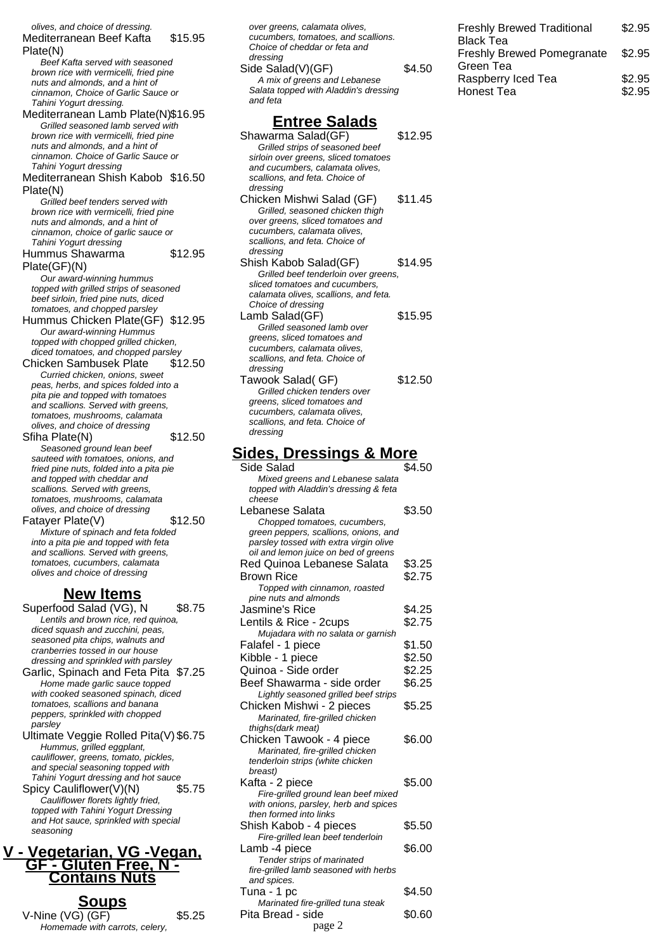olives, and choice of dressing. Mediterranean Beef Kafta Plate(N) \$15.95 Beef Kafta served with seasoned brown rice with vermicelli, fried pine nuts and almonds, and a hint of cinnamon, Choice of Garlic Sauce or Tahini Yogurt dressing. Mediterranean Lamb Plate(N)\$16.95 Grilled seasoned lamb served with brown rice with vermicelli, fried pine nuts and almonds, and a hint of cinnamon. Choice of Garlic Sauce or Tahini Yogurt dressing Mediterranean Shish Kabob \$16.50 Plate(N) Grilled beef tenders served with brown rice with vermicelli, fried pine nuts and almonds, and a hint of cinnamon, choice of garlic sauce or Tahini Yogurt dressing Hummus Shawarma Plate(GF)(N) \$12.95 Our award-winning hummus topped with grilled strips of seasoned beef sirloin, fried pine nuts, diced tomatoes, and chopped parsley Hummus Chicken Plate(GF) \$12.95 Our award-winning Hummus topped with chopped grilled chicken, diced tomatoes, and chopped parsley Chicken Sambusek Plate \$12.50 Curried chicken, onions, sweet peas, herbs, and spices folded into a pita pie and topped with tomatoes and scallions. Served with greens, tomatoes, mushrooms, calamata olives, and choice of dressing Sfiha Plate(N) \$12.50 Seasoned ground lean beef sauteed with tomatoes, onions, and fried pine nuts, folded into a pita pie and topped with cheddar and scallions. Served with greens, tomatoes, mushrooms, calamata olives, and choice of dressing Fatayer Plate(V) \$12.50 Mixture of spinach and feta folded into a pita pie and topped with feta and scallions. Served with greens, tomatoes, cucumbers, calamata olives and choice of dressing **New Items** Superfood Salad (VG), N \$8.75 Lentils and brown rice, red quinoa, diced squash and zucchini, peas, seasoned pita chips, walnuts and cranberries tossed in our house dressing and sprinkled with parsley Garlic, Spinach and Feta Pita \$7.25 Home made garlic sauce topped with cooked seasoned spinach, diced tomatoes, scallions and banana peppers, sprinkled with chopped parsley Ultimate Veggie Rolled Pita(V) \$6.75 Hummus, grilled eggplant, cauliflower, greens, tomato, pickles, and special seasoning topped with Tahini Yogurt dressing and hot sauce Spicy Cauliflower(V)(N) \$5.75 Cauliflower florets lightly fried,

topped with Tahini Yogurt Dressing and Hot sauce, sprinkled with special seasoning

#### **V - Vegetarian, VG -Vegan, GF - Gluten Free, N - Contains Nuts**

| <b>Soups</b>                   |        |
|--------------------------------|--------|
| V-Nine (VG) (GF)               | \$5.25 |
| Homemade with carrots, celery, |        |

| cucumbers, tomatoes, and scallions.<br>Choice of cheddar or feta and            |                  |
|---------------------------------------------------------------------------------|------------------|
| dressing                                                                        |                  |
| Side Salad(V)(GF)                                                               | \$4.50           |
| A mix of greens and Lebanese                                                    |                  |
| Salata topped with Aladdin's dressing                                           |                  |
| and feta                                                                        |                  |
| <b>Entree Salads</b>                                                            |                  |
| Shawarma Salad(GF)                                                              | \$12.95          |
| Grilled strips of seasoned beef                                                 |                  |
| sirloin over greens, sliced tomatoes                                            |                  |
| and cucumbers, calamata olives,<br>scallions, and feta. Choice of               |                  |
| dressing                                                                        |                  |
| Chicken Mishwi Salad (GF)                                                       | \$11.45          |
| Grilled, seasoned chicken thigh                                                 |                  |
| over greens, sliced tomatoes and<br>cucumbers, calamata olives,                 |                  |
| scallions, and feta. Choice of                                                  |                  |
| dressing                                                                        |                  |
| Shish Kabob Salad(GF)                                                           | \$14.95          |
| Grilled beef tenderloin over greens,<br>sliced tomatoes and cucumbers,          |                  |
| calamata olives, scallions, and feta.                                           |                  |
| Choice of dressing                                                              |                  |
| Lamb Salad(GF)                                                                  | \$15.95          |
| Grilled seasoned lamb over<br>greens, sliced tomatoes and                       |                  |
| cucumbers, calamata olives,                                                     |                  |
| scallions, and feta. Choice of                                                  |                  |
| dressing<br>Tawook Salad( GF)                                                   | \$12.50          |
| Grilled chicken tenders over                                                    |                  |
| greens, sliced tomatoes and                                                     |                  |
| cucumbers, calamata olives,<br>scallions, and feta. Choice of                   |                  |
| dressing                                                                        |                  |
|                                                                                 |                  |
| <u> Sides, Dressings &amp; More</u>                                             |                  |
| Side Salad<br>Mixed greens and Lebanese salata                                  | \$4.50           |
| topped with Aladdin's dressing & feta                                           |                  |
|                                                                                 |                  |
| cheese                                                                          |                  |
| Lebanese Salata                                                                 | \$3.50           |
| Chopped tomatoes, cucumbers,                                                    |                  |
| green peppers, scallions, onions, and<br>parsley tossed with extra virgin olive |                  |
| oil and lemon juice on bed of greens                                            |                  |
| Red Quinoa Lebanese Salata                                                      | \$3.25           |
| <b>Brown Rice</b>                                                               | \$2.75           |
| Topped with cinnamon, roasted<br>pine nuts and almonds                          |                  |
| Jasmine's Rice                                                                  | \$4.25           |
| Lentils & Rice - 2cups                                                          | \$2.75           |
| Mujadara with no salata or garnish                                              |                  |
| Falafel - 1 piece                                                               | \$1.50           |
| Kibble - 1 piece                                                                | \$2.50           |
| Quinoa - Side order<br>Beef Shawarma - side order                               | \$2.25<br>\$6.25 |
| Lightly seasoned grilled beef strips                                            |                  |
| Chicken Mishwi - 2 pieces                                                       | \$5.25           |
| Marinated, fire-grilled chicken                                                 |                  |
| thighs(dark meat)<br>Chicken Tawook - 4 piece                                   | \$6.00           |
| Marinated, fire-grilled chicken                                                 |                  |
| tenderloin strips (white chicken                                                |                  |
| breast)                                                                         | \$5.00           |
| Kafta - 2 piece<br>Fire-grilled ground lean beef mixed                          |                  |
| with onions, parsley, herb and spices                                           |                  |
| then formed into links                                                          |                  |
| Shish Kabob - 4 pieces<br>Fire-grilled lean beef tenderloin                     | \$5.50           |
| Lamb -4 piece                                                                   | \$6.00           |
| Tender strips of marinated                                                      |                  |
| fire-grilled lamb seasoned with herbs<br>and spices.                            |                  |
| Tuna - 1 pc                                                                     | \$4.50           |
| Marinated fire-grilled tuna steak<br>Pita Bread - side                          | \$0.60           |

Freshly Brewed Traditional

Freshly Brewed Pomegranate

Raspberry Iced Tea \$2.95 Honest Tea  $$2.95$ 

\$2.95

\$2.95

Black Tea

Green Tea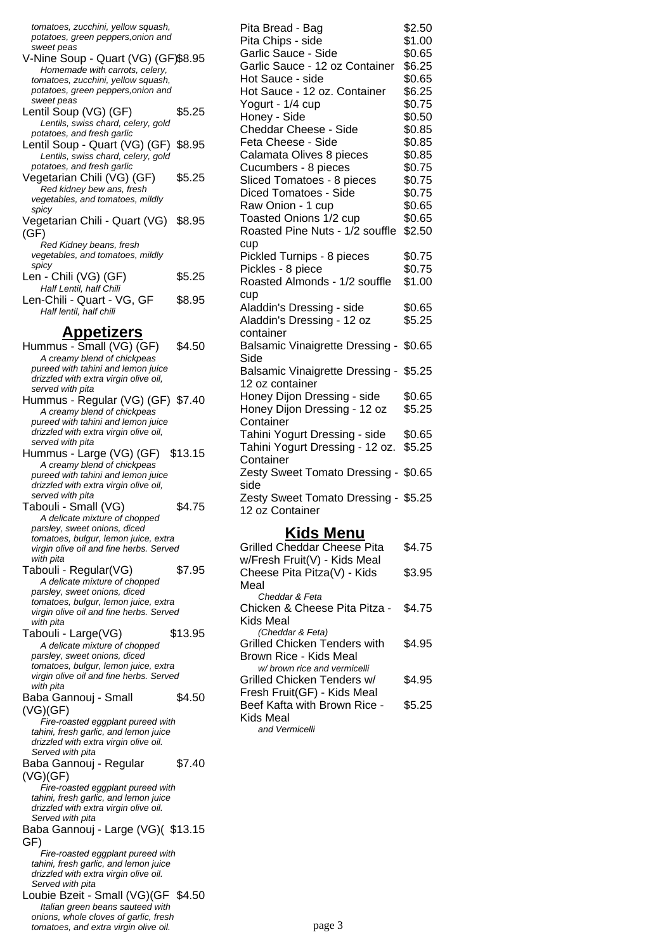| tomatoes, zucchini, yellow squash,                                                                                  |         |
|---------------------------------------------------------------------------------------------------------------------|---------|
| potatoes, green peppers, onion and<br>sweet peas                                                                    |         |
| V-Nine Soup - Quart (VG) (GF)\$8.95<br>Homemade with carrots, celery,                                               |         |
| tomatoes, zucchini, yellow squash,<br>potatoes, green peppers, onion and                                            |         |
| sweet peas                                                                                                          |         |
| Lentil Soup (VG) (GF)<br>Lentils, swiss chard, celery, gold                                                         | \$5.25  |
| potatoes, and fresh garlic<br>Lentil Soup - Quart (VG) (GF)<br>Lentils, swiss chard, celery, gold                   | \$8.95  |
| potatoes, and fresh garlic<br>Vegetarian Chili (VG) (GF)                                                            | \$5.25  |
| Red kidney bew ans, fresh<br>vegetables, and tomatoes, mildly                                                       |         |
| spicy<br>Vegetarian Chili - Quart (VG) \$8.95<br>(GF)                                                               |         |
| Red Kidney beans, fresh<br>vegetables, and tomatoes, mildly                                                         |         |
| spicy<br>Len - Chili (VG) (GF)                                                                                      | \$5.25  |
| Half Lentil, half Chili                                                                                             | \$8.95  |
| Len-Chili - Quart - VG, GF<br>Half lentil, half chili                                                               |         |
| <u>Appetizers</u>                                                                                                   |         |
| Hummus - Small (VG) (GF)<br>A creamy blend of chickpeas                                                             | \$4.50  |
| pureed with tahini and lemon juice<br>drizzled with extra virgin olive oil,                                         |         |
| served with pita<br>Hummus - Regular (VG) (GF) \$7.40                                                               |         |
| A creamy blend of chickpeas<br>pureed with tahini and lemon juice                                                   |         |
| drizzled with extra virgin olive oil,<br>served with pita                                                           |         |
| Hummus - Large (VG) (GF)<br>A creamy blend of chickpeas                                                             | \$13.15 |
| pureed with tahini and lemon juice<br>drizzled with extra virgin olive oil,                                         |         |
| served with pita<br>Tabouli - Small (VG)                                                                            | \$4.75  |
| A delicate mixture of chopped<br>parsley, sweet onions, diced                                                       |         |
| tomatoes, bulgur, lemon juice, extra<br>virgin olive oil and fine herbs. Served                                     |         |
| with pita                                                                                                           |         |
| Tabouli - Regular(VG)<br>A delicate mixture of chopped                                                              | \$7.95  |
| parsley, sweet onions, diced<br>tomatoes, bulgur, lemon juice, extra                                                |         |
| virgin olive oil and fine herbs. Served<br>with pita                                                                |         |
| Tabouli - Large(VG)<br>A delicate mixture of chopped                                                                | \$13.95 |
| parsley, sweet onions, diced                                                                                        |         |
| tomatoes, bulgur, lemon juice, extra<br>virgin olive oil and fine herbs. Served                                     |         |
| with pita<br>Baba Gannouj - Small                                                                                   | \$4.50  |
| (VG)(GF)                                                                                                            |         |
| Fire-roasted eggplant pureed with<br>tahini, fresh garlic, and lemon juice<br>drizzled with extra virgin olive oil. |         |
| Served with pita<br>Baba Gannouj - Regular                                                                          | \$7.40  |
| (VG)(GF)<br>Fire-roasted eggplant pureed with                                                                       |         |
| tahini, fresh garlic, and lemon juice<br>drizzled with extra virgin olive oil.                                      |         |
| Served with pita<br>Baba Gannouj - Large (VG)(\$13.15                                                               |         |
| GF)<br>Fire-roasted eggplant pureed with                                                                            |         |
| tahini, fresh garlic, and lemon juice<br>drizzled with extra virgin olive oil.                                      |         |
| Served with pita<br>Loubie Bzeit - Small (VG)(GF \$4.50                                                             |         |
| Italian green beans sauteed with<br>onions, whole cloves of garlic, fresh                                           |         |

tomatoes, and extra virgin olive oil.

| Pita Bread - Bag                             | \$2.50       |
|----------------------------------------------|--------------|
| Pita Chips - side                            | \$1.00       |
| Garlic Sauce - Side                          | \$0.65       |
| Garlic Sauce - 12 oz Container               | \$6.25       |
| Hot Sauce - side                             | \$0.65       |
| Hot Sauce - 12 oz. Container                 | \$6.25       |
| Yogurt - 1/4 cup                             | \$0.75       |
| Honey - Side                                 | \$0.50       |
| Cheddar Cheese - Side                        | \$0.85       |
| Feta Cheese - Side                           | \$0.85       |
| Calamata Olives 8 pieces                     | \$0.85       |
| Cucumbers - 8 pieces                         | \$0.75       |
| Sliced Tomatoes - 8 pieces                   | \$0.75       |
| Diced Tomatoes - Side                        | \$0.75       |
| Raw Onion - 1 cup                            | \$0.65       |
| Toasted Onions 1/2 cup                       | \$0.65       |
| Roasted Pine Nuts - 1/2 souffle              | \$2.50       |
| cup                                          |              |
| Pickled Turnips - 8 pieces                   | \$0.75       |
| Pickles - 8 piece                            | \$0.75       |
| Roasted Almonds - 1/2 souffle                | \$1.00       |
| cup                                          |              |
| Aladdin's Dressing - side                    | \$0.65       |
| Aladdin's Dressing - 12 oz                   | \$5.25       |
| container                                    |              |
| Balsamic Vinaigrette Dressing - \$0.65       |              |
| Side                                         |              |
| Balsamic Vinaigrette Dressing - \$5.25       |              |
| 12 oz container                              |              |
| Honey Dijon Dressing - side                  | \$0.65       |
| Honey Dijon Dressing - 12 oz                 | \$5.25       |
| Container                                    |              |
| Tahini Yogurt Dressing - side                | \$0.65       |
| Tahini Yogurt Dressing - 12 oz.              | \$5.25       |
| Container                                    |              |
| Zesty Sweet Tomato Dressing - \$0.65<br>side |              |
| Zesty Sweet Tomato Dressing - \$5.25         |              |
| 12 oz Container                              |              |
|                                              |              |
| <u>Kids Menu</u>                             |              |
| Grilled Cheddar Cheese Pita                  | <b>¢4 75</b> |

| Grilled Cheddar Cheese Pita   | \$4.75 |
|-------------------------------|--------|
| w/Fresh Fruit(V) - Kids Meal  |        |
| Cheese Pita Pitza(V) - Kids   | \$3.95 |
| Meal                          |        |
| Cheddar & Feta                |        |
| Chicken & Cheese Pita Pitza - | \$4.75 |
| Kids Meal                     |        |
| (Cheddar & Feta)              |        |
| Grilled Chicken Tenders with  | \$4.95 |
| Brown Rice - Kids Meal        |        |
| w/brown rice and vermicelli   |        |
| Grilled Chicken Tenders w/    | \$4.95 |
| Fresh Fruit(GF) - Kids Meal   |        |
| Beef Kafta with Brown Rice -  | \$5.25 |
| Kids Meal                     |        |
| and Vermicelli                |        |
|                               |        |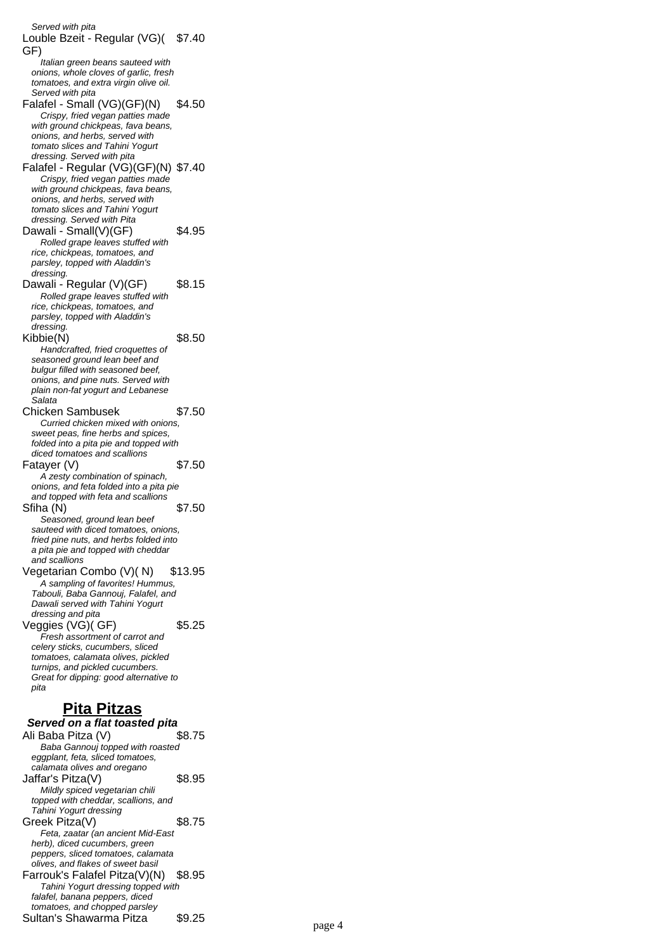Served with pita Louble Bzeit - Regular (VG)( \$7.40 GF) Italian green beans sauteed with onions, whole cloves of garlic, fresh tomatoes, and extra virgin olive oil. Served with pita Falafel - Small (VG)(GF)(N) \$4.50 Crispy, fried vegan patties made with ground chickpeas, fava beans, onions, and herbs, served with tomato slices and Tahini Yogurt dressing. Served with pita Falafel - Regular (VG)(GF)(N) \$7.40 Crispy, fried vegan patties made with ground chickpeas, fava beans, onions, and herbs, served with tomato slices and Tahini Yogurt dressing. Served with Pita Dawali - Small(V)(GF) \$4.95 Rolled grape leaves stuffed with rice, chickpeas, tomatoes, and parsley, topped with Aladdin's dressing. Dawali - Regular (V)(GF) \$8.15 Rolled grape leaves stuffed with rice, chickpeas, tomatoes, and parsley, topped with Aladdin's dressing. Kibbie(N) \$8.50 Handcrafted, fried croquettes of seasoned ground lean beef and bulgur filled with seasoned beef, onions, and pine nuts. Served with plain non-fat yogurt and Lebanese .<br>Salata Chicken Sambusek \$7.50 Curried chicken mixed with onions, sweet peas, fine herbs and spices, folded into a pita pie and topped with diced tomatoes and scallions Fatayer  $(V)$  \$7.50 A zesty combination of spinach, onions, and feta folded into a pita pie and topped with feta and scallions Sfiha (N) \$7.50 Seasoned, ground lean beef sauteed with diced tomatoes, onions, fried pine nuts, and herbs folded into a pita pie and topped with cheddar and scallions Vegetarian Combo (V)(N) \$13.95 A sampling of favorites! Hummus, Tabouli, Baba Gannouj, Falafel, and Dawali served with Tahini Yogurt dressing and pita  $V$ eggies  $(VG)(GF)$  \$5.25 Fresh assortment of carrot and celery sticks, cucumbers, sliced tomatoes, calamata olives, pickled turnips, and pickled cucumbers. Great for dipping: good alternative to pita **Pita Pitzas Served on a flat toasted pita** Ali Baba Pitza (V) \$8.75 Baba Gannouj topped with roasted eggplant, feta, sliced tomatoes, calamata olives and oregano Jaffar's Pitza(V) \$8.95 Mildly spiced vegetarian chili topped with cheddar, scallions, and Tahini Yogurt dressing Greek Pitza(V) \$8.75 Feta, zaatar (an ancient Mid-East herb), diced cucumbers, green peppers, sliced tomatoes, calamata olives, and flakes of sweet basil Farrouk's Falafel Pitza(V)(N) \$8.95 Tahini Yogurt dressing topped with falafel, banana peppers, diced tomatoes, and chopped parsley

Sultan's Shawarma Pitza  $$9.25$  page 4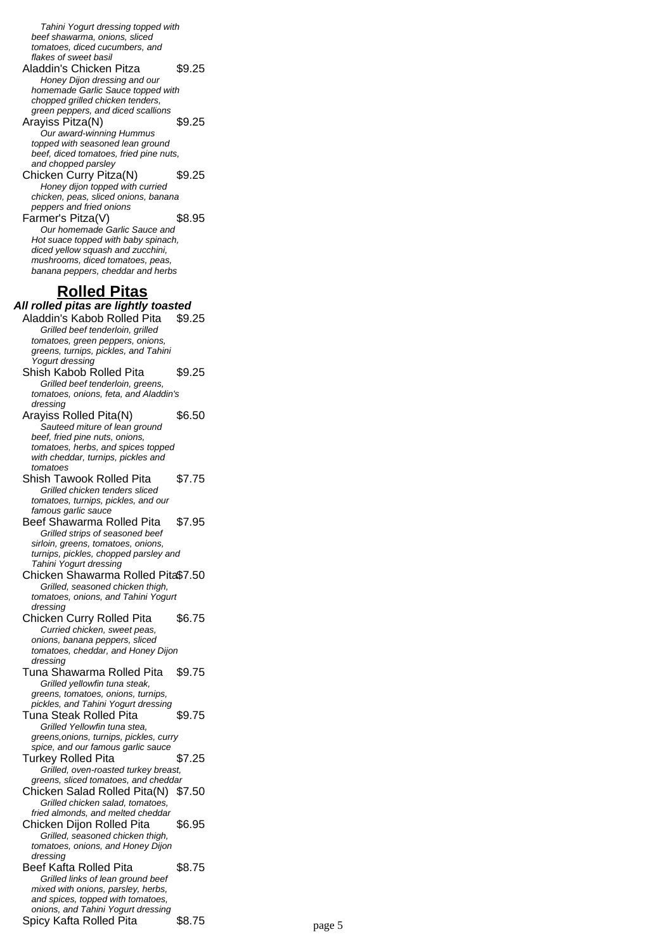Tahini Yogurt dressing topped with beef shawarma, onions, sliced tomatoes, diced cucumbers, and flakes of sweet basil Aladdin's Chicken Pitza \$9.25 Honey Dijon dressing and our homemade Garlic Sauce topped with chopped grilled chicken tenders, green peppers, and diced scallions Arayiss Pitza(N) \$9.25 .<br>Our award-winning Hummus topped with seasoned lean ground beef, diced tomatoes, fried pine nuts, and chopped parsley Chicken Curry Pitza(N) \$9.25 Honey dijon topped with curried chicken, peas, sliced onions, banana peppers and fried onions Farmer's Pitza(V) \$8.95 Our homemade Garlic Sauce and Hot suace topped with baby spinach, diced yellow squash and zucchini, mushrooms, diced tomatoes, peas, banana peppers, cheddar and herbs **Rolled Pitas All rolled pitas are lightly toasted** Aladdin's Kabob Rolled Pita \$9.25 Grilled beef tenderloin, grilled tomatoes, green peppers, onions, greens, turnips, pickles, and Tahini Yogurt dressing Shish Kabob Rolled Pita \$9.25 Grilled beef tenderloin, greens, tomatoes, onions, feta, and Aladdin's dressing Arayiss Rolled Pita(N) \$6.50 Sauteed miture of lean ground beef, fried pine nuts, onions, tomatoes, herbs, and spices topped with cheddar, turnips, pickles and tomatoes Shish Tawook Rolled Pita \$7.75 Grilled chicken tenders sliced tomatoes, turnips, pickles, and our famous garlic sauce Beef Shawarma Rolled Pita \$7.95 Grilled strips of seasoned beef sirloin, greens, tomatoes, onions, turnips, pickles, chopped parsley and Tahini Yogurt dressing Chicken Shawarma Rolled Pita\$7.50 Grilled, seasoned chicken thigh, tomatoes, onions, and Tahini Yogurt dressing Chicken Curry Rolled Pita \$6.75 Curried chicken, sweet peas, onions, banana peppers, sliced tomatoes, cheddar, and Honey Dijon dressing Tuna Shawarma Rolled Pita \$9.75 Grilled yellowfin tuna steak, greens, tomatoes, onions, turnips, pickles, and Tahini Yogurt dressing Tuna Steak Rolled Pita \$9.75 Grilled Yellowfin tuna stea, greens,onions, turnips, pickles, curry spice, and our famous garlic sauce Turkey Rolled Pita \$7.25 Grilled, oven-roasted turkey breast, greens, sliced tomatoes, and cheddar Chicken Salad Rolled Pita(N) \$7.50 Grilled chicken salad, tomatoes, fried almonds, and melted cheddar Chicken Dijon Rolled Pita \$6.95 Grilled, seasoned chicken thigh, tomatoes, onions, and Honey Dijon dressing Beef Kafta Rolled Pita \$8.75 Grilled links of lean ground beef mixed with onions, parsley, herbs, and spices, topped with tomatoes,

onions, and Tahini Yogurt dressing